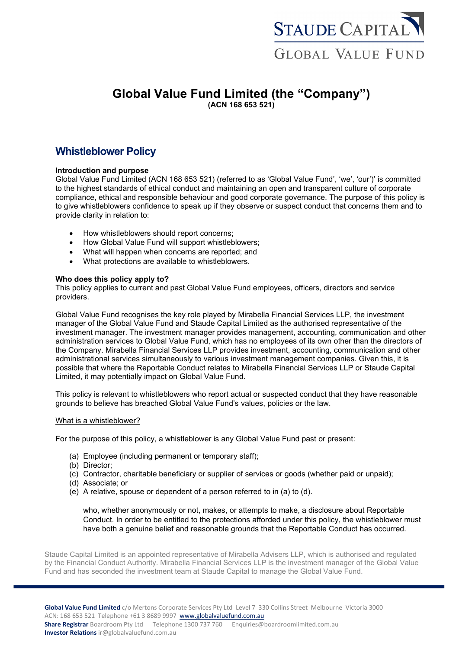

# **Global Value Fund Limited (the "Company") (ACN 168 653 521)**

# **Whistleblower Policy**

# **Introduction and purpose**

Global Value Fund Limited (ACN 168 653 521) (referred to as 'Global Value Fund', 'we', 'our')' is committed to the highest standards of ethical conduct and maintaining an open and transparent culture of corporate compliance, ethical and responsible behaviour and good corporate governance. The purpose of this policy is to give whistleblowers confidence to speak up if they observe or suspect conduct that concerns them and to provide clarity in relation to:

- How whistleblowers should report concerns;
- How Global Value Fund will support whistleblowers;
- What will happen when concerns are reported; and
- What protections are available to whistleblowers.

### **Who does this policy apply to?**

This policy applies to current and past Global Value Fund employees, officers, directors and service providers.

Global Value Fund recognises the key role played by Mirabella Financial Services LLP, the investment manager of the Global Value Fund and Staude Capital Limited as the authorised representative of the investment manager. The investment manager provides management, accounting, communication and other administration services to Global Value Fund, which has no employees of its own other than the directors of the Company. Mirabella Financial Services LLP provides investment, accounting, communication and other administrational services simultaneously to various investment management companies. Given this, it is possible that where the Reportable Conduct relates to Mirabella Financial Services LLP or Staude Capital Limited, it may potentially impact on Global Value Fund.

This policy is relevant to whistleblowers who report actual or suspected conduct that they have reasonable grounds to believe has breached Global Value Fund's values, policies or the law.

### What is a whistleblower?

For the purpose of this policy, a whistleblower is any Global Value Fund past or present:

- (a) Employee (including permanent or temporary staff);
- (b) Director;
- (c) Contractor, charitable beneficiary or supplier of services or goods (whether paid or unpaid);
- (d) Associate; or
- (e) A relative, spouse or dependent of a person referred to in (a) to (d).

who, whether anonymously or not, makes, or attempts to make, a disclosure about Reportable Conduct. In order to be entitled to the protections afforded under this policy, the whistleblower must have both a genuine belief and reasonable grounds that the Reportable Conduct has occurred.

Staude Capital Limited is an appointed representative of Mirabella Advisers LLP, which is authorised and regulated by the Financial Conduct Authority. Mirabella Financial Services LLP is the investment manager of the Global Value Fund and has seconded the investment team at Staude Capital to manage the Global Value Fund.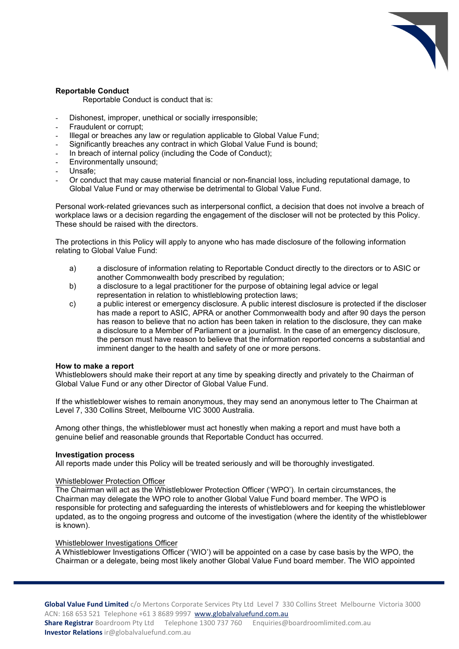

## **Reportable Conduct**

Reportable Conduct is conduct that is:

- Dishonest, improper, unethical or socially irresponsible;
- Fraudulent or corrupt;
- Illegal or breaches any law or regulation applicable to Global Value Fund;
- Significantly breaches any contract in which Global Value Fund is bound;
- In breach of internal policy (including the Code of Conduct);
- Environmentally unsound;
- Unsafe:
- Or conduct that may cause material financial or non-financial loss, including reputational damage, to Global Value Fund or may otherwise be detrimental to Global Value Fund.

Personal work-related grievances such as interpersonal conflict, a decision that does not involve a breach of workplace laws or a decision regarding the engagement of the discloser will not be protected by this Policy. These should be raised with the directors.

The protections in this Policy will apply to anyone who has made disclosure of the following information relating to Global Value Fund:

- a) a disclosure of information relating to Reportable Conduct directly to the directors or to ASIC or another Commonwealth body prescribed by regulation;
- b) a disclosure to a legal practitioner for the purpose of obtaining legal advice or legal representation in relation to whistleblowing protection laws;
- c) a public interest or emergency disclosure. A public interest disclosure is protected if the discloser has made a report to ASIC, APRA or another Commonwealth body and after 90 days the person has reason to believe that no action has been taken in relation to the disclosure, they can make a disclosure to a Member of Parliament or a journalist. In the case of an emergency disclosure, the person must have reason to believe that the information reported concerns a substantial and imminent danger to the health and safety of one or more persons.

### **How to make a report**

Whistleblowers should make their report at any time by speaking directly and privately to the Chairman of Global Value Fund or any other Director of Global Value Fund.

If the whistleblower wishes to remain anonymous, they may send an anonymous letter to The Chairman at Level 7, 330 Collins Street, Melbourne VIC 3000 Australia.

Among other things, the whistleblower must act honestly when making a report and must have both a genuine belief and reasonable grounds that Reportable Conduct has occurred.

#### **Investigation process**

All reports made under this Policy will be treated seriously and will be thoroughly investigated.

#### Whistleblower Protection Officer

The Chairman will act as the Whistleblower Protection Officer ('WPO'). In certain circumstances, the Chairman may delegate the WPO role to another Global Value Fund board member. The WPO is responsible for protecting and safeguarding the interests of whistleblowers and for keeping the whistleblower updated, as to the ongoing progress and outcome of the investigation (where the identity of the whistleblower is known).

## Whistleblower Investigations Officer

A Whistleblower Investigations Officer ('WIO') will be appointed on a case by case basis by the WPO, the Chairman or a delegate, being most likely another Global Value Fund board member. The WIO appointed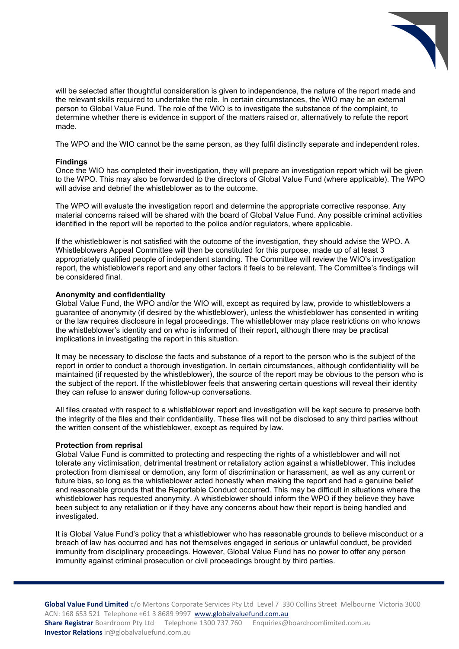

will be selected after thoughtful consideration is given to independence, the nature of the report made and the relevant skills required to undertake the role. In certain circumstances, the WIO may be an external person to Global Value Fund. The role of the WIO is to investigate the substance of the complaint, to determine whether there is evidence in support of the matters raised or, alternatively to refute the report made.

The WPO and the WIO cannot be the same person, as they fulfil distinctly separate and independent roles.

#### **Findings**

Once the WIO has completed their investigation, they will prepare an investigation report which will be given to the WPO. This may also be forwarded to the directors of Global Value Fund (where applicable). The WPO will advise and debrief the whistleblower as to the outcome.

The WPO will evaluate the investigation report and determine the appropriate corrective response. Any material concerns raised will be shared with the board of Global Value Fund. Any possible criminal activities identified in the report will be reported to the police and/or regulators, where applicable.

If the whistleblower is not satisfied with the outcome of the investigation, they should advise the WPO. A Whistleblowers Appeal Committee will then be constituted for this purpose, made up of at least 3 appropriately qualified people of independent standing. The Committee will review the WIO's investigation report, the whistleblower's report and any other factors it feels to be relevant. The Committee's findings will be considered final.

#### **Anonymity and confidentiality**

Global Value Fund, the WPO and/or the WIO will, except as required by law, provide to whistleblowers a guarantee of anonymity (if desired by the whistleblower), unless the whistleblower has consented in writing or the law requires disclosure in legal proceedings. The whistleblower may place restrictions on who knows the whistleblower's identity and on who is informed of their report, although there may be practical implications in investigating the report in this situation.

It may be necessary to disclose the facts and substance of a report to the person who is the subject of the report in order to conduct a thorough investigation. In certain circumstances, although confidentiality will be maintained (if requested by the whistleblower), the source of the report may be obvious to the person who is the subject of the report. If the whistleblower feels that answering certain questions will reveal their identity they can refuse to answer during follow-up conversations.

All files created with respect to a whistleblower report and investigation will be kept secure to preserve both the integrity of the files and their confidentiality. These files will not be disclosed to any third parties without the written consent of the whistleblower, except as required by law.

#### **Protection from reprisal**

Global Value Fund is committed to protecting and respecting the rights of a whistleblower and will not tolerate any victimisation, detrimental treatment or retaliatory action against a whistleblower. This includes protection from dismissal or demotion, any form of discrimination or harassment, as well as any current or future bias, so long as the whistleblower acted honestly when making the report and had a genuine belief and reasonable grounds that the Reportable Conduct occurred. This may be difficult in situations where the whistleblower has requested anonymity. A whistleblower should inform the WPO if they believe they have been subject to any retaliation or if they have any concerns about how their report is being handled and investigated.

It is Global Value Fund's policy that a whistleblower who has reasonable grounds to believe misconduct or a breach of law has occurred and has not themselves engaged in serious or unlawful conduct, be provided immunity from disciplinary proceedings. However, Global Value Fund has no power to offer any person immunity against criminal prosecution or civil proceedings brought by third parties.

**Global Value Fund Limited** c/o Mertons Corporate Services Pty Ltd Level 7 330 Collins Street Melbourne Victoria 3000 ACN: 168 653 521 Telephone +61 3 8689 9997 www.globalvaluefund.com.au Share Registrar Boardroom Pty Ltd Telephone 1300 737 760 Enquiries@boardroomlimited.com.au **Investor Relations** ir@globalvaluefund.com.au